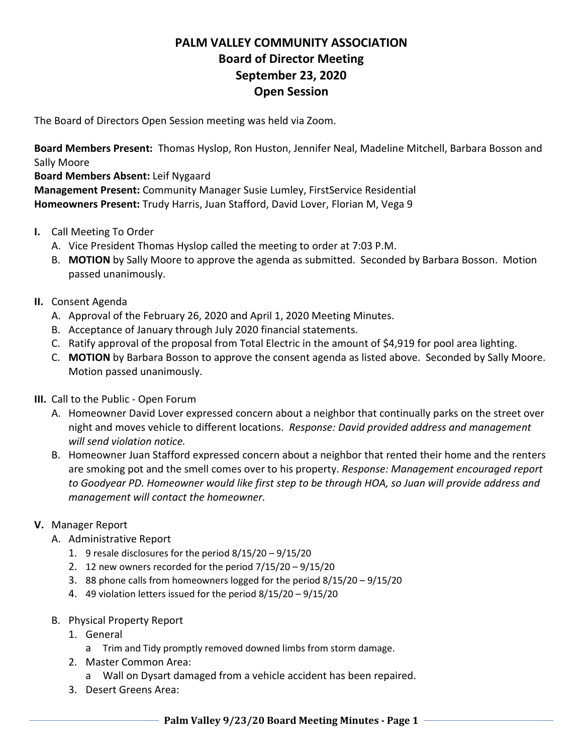# **PALM VALLEY COMMUNITY ASSOCIATION Board of Director Meeting September 23, 2020 Open Session**

The Board of Directors Open Session meeting was held via Zoom.

**Board Members Present:** Thomas Hyslop, Ron Huston, Jennifer Neal, Madeline Mitchell, Barbara Bosson and Sally Moore

### **Board Members Absent:** Leif Nygaard

**Management Present:** Community Manager Susie Lumley, FirstService Residential **Homeowners Present:** Trudy Harris, Juan Stafford, David Lover, Florian M, Vega 9

- **I.** Call Meeting To Order
	- A. Vice President Thomas Hyslop called the meeting to order at 7:03 P.M.
	- B. **MOTION** by Sally Moore to approve the agenda as submitted. Seconded by Barbara Bosson. Motion passed unanimously.
- **II.** Consent Agenda
	- A. Approval of the February 26, 2020 and April 1, 2020 Meeting Minutes.
	- B. Acceptance of January through July 2020 financial statements.
	- C. Ratify approval of the proposal from Total Electric in the amount of \$4,919 for pool area lighting.
	- C. **MOTION** by Barbara Bosson to approve the consent agenda as listed above. Seconded by Sally Moore. Motion passed unanimously.
- **III.** Call to the Public Open Forum
	- A. Homeowner David Lover expressed concern about a neighbor that continually parks on the street over night and moves vehicle to different locations. *Response: David provided address and management will send violation notice.*
	- B. Homeowner Juan Stafford expressed concern about a neighbor that rented their home and the renters are smoking pot and the smell comes over to his property. *Response: Management encouraged report to Goodyear PD. Homeowner would like first step to be through HOA, so Juan will provide address and management will contact the homeowner.*

# **V.** Manager Report

- A. Administrative Report
	- 1. 9 resale disclosures for the period 8/15/20 9/15/20
	- 2. 12 new owners recorded for the period 7/15/20 9/15/20
	- 3. 88 phone calls from homeowners logged for the period 8/15/20 9/15/20
	- 4. 49 violation letters issued for the period 8/15/20 9/15/20
- B. Physical Property Report
	- 1. General
		- a Trim and Tidy promptly removed downed limbs from storm damage.
	- 2. Master Common Area:
		- a Wall on Dysart damaged from a vehicle accident has been repaired.
	- 3. Desert Greens Area: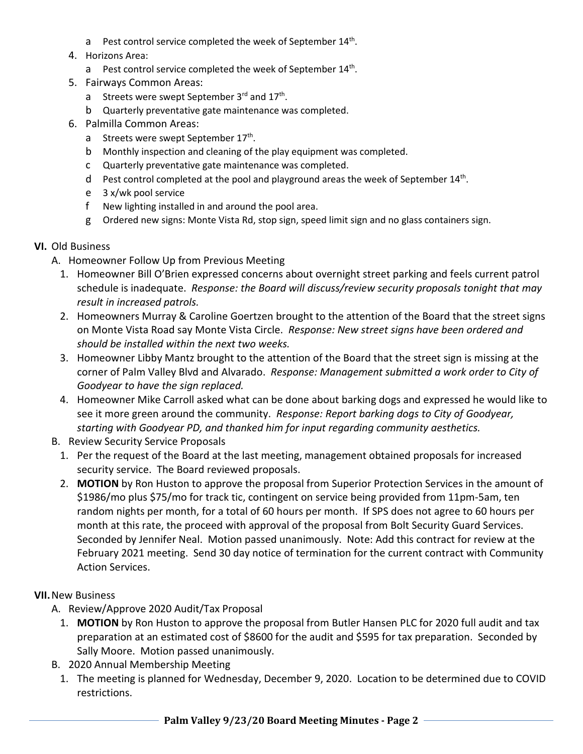- a Pest control service completed the week of September 14<sup>th</sup>.
- 4. Horizons Area:
	- a Pest control service completed the week of September 14<sup>th</sup>.
- 5. Fairways Common Areas:
	- a Streets were swept September 3<sup>rd</sup> and 17<sup>th</sup>.
	- b Quarterly preventative gate maintenance was completed.
- 6. Palmilla Common Areas:
	- a Streets were swept September 17<sup>th</sup>.
	- b Monthly inspection and cleaning of the play equipment was completed.
	- c Quarterly preventative gate maintenance was completed.
	- $d$  Pest control completed at the pool and playground areas the week of September  $14<sup>th</sup>$ .
	- e 3 x/wk pool service
	- f New lighting installed in and around the pool area.
	- g Ordered new signs: Monte Vista Rd, stop sign, speed limit sign and no glass containers sign.

### **VI.** Old Business

- A. Homeowner Follow Up from Previous Meeting
	- 1. Homeowner Bill O'Brien expressed concerns about overnight street parking and feels current patrol schedule is inadequate. *Response: the Board will discuss/review security proposals tonight that may result in increased patrols.*
	- 2. Homeowners Murray & Caroline Goertzen brought to the attention of the Board that the street signs on Monte Vista Road say Monte Vista Circle. *Response: New street signs have been ordered and should be installed within the next two weeks.*
	- 3. Homeowner Libby Mantz brought to the attention of the Board that the street sign is missing at the corner of Palm Valley Blvd and Alvarado. *Response: Management submitted a work order to City of Goodyear to have the sign replaced.*
	- 4. Homeowner Mike Carroll asked what can be done about barking dogs and expressed he would like to see it more green around the community. *Response: Report barking dogs to City of Goodyear, starting with Goodyear PD, and thanked him for input regarding community aesthetics.*
- B. Review Security Service Proposals
	- 1. Per the request of the Board at the last meeting, management obtained proposals for increased security service. The Board reviewed proposals.
	- 2. **MOTION** by Ron Huston to approve the proposal from Superior Protection Services in the amount of \$1986/mo plus \$75/mo for track tic, contingent on service being provided from 11pm-5am, ten random nights per month, for a total of 60 hours per month. If SPS does not agree to 60 hours per month at this rate, the proceed with approval of the proposal from Bolt Security Guard Services. Seconded by Jennifer Neal. Motion passed unanimously. Note: Add this contract for review at the February 2021 meeting. Send 30 day notice of termination for the current contract with Community Action Services.

# **VII.**New Business

- A. Review/Approve 2020 Audit/Tax Proposal
	- 1. **MOTION** by Ron Huston to approve the proposal from Butler Hansen PLC for 2020 full audit and tax preparation at an estimated cost of \$8600 for the audit and \$595 for tax preparation. Seconded by Sally Moore. Motion passed unanimously.
- B. 2020 Annual Membership Meeting
	- 1. The meeting is planned for Wednesday, December 9, 2020. Location to be determined due to COVID restrictions.